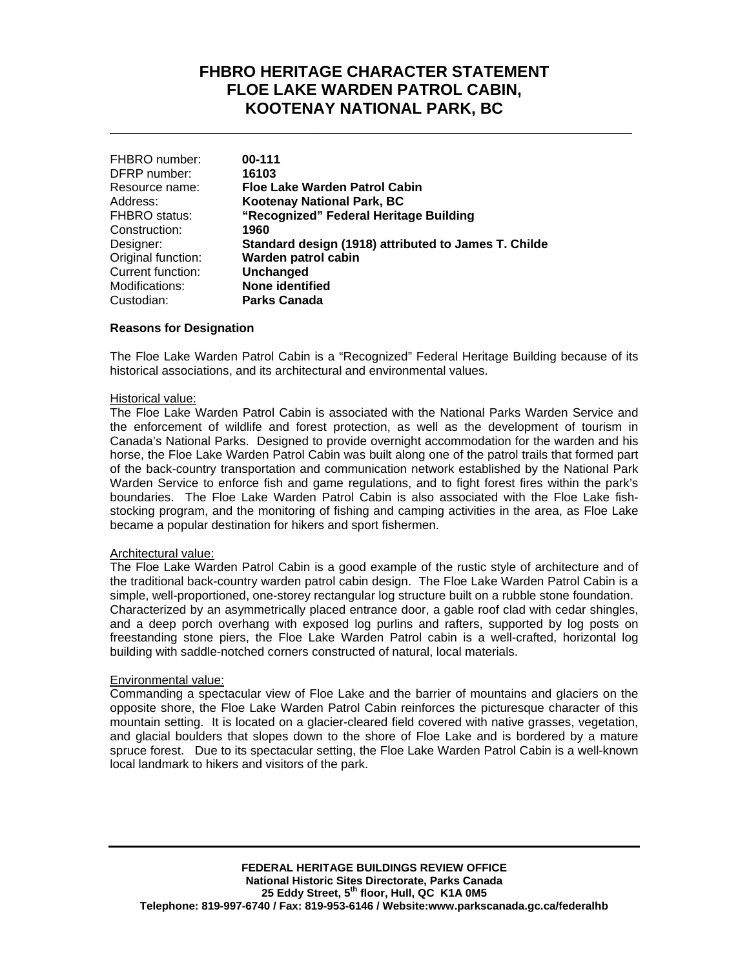# **FHBRO HERITAGE CHARACTER STATEMENT FLOE LAKE WARDEN PATROL CABIN, KOOTENAY NATIONAL PARK, BC**

**\_\_\_\_\_\_\_\_\_\_\_\_\_\_\_\_\_\_\_\_\_\_\_\_\_\_\_\_\_\_\_\_\_\_\_\_\_\_\_\_\_\_\_\_\_\_\_\_\_\_\_\_\_\_\_\_\_\_\_**

| 00-111                                               |
|------------------------------------------------------|
| 16103                                                |
| Floe Lake Warden Patrol Cabin                        |
| <b>Kootenay National Park, BC</b>                    |
| "Recognized" Federal Heritage Building               |
| 1960                                                 |
| Standard design (1918) attributed to James T. Childe |
| Warden patrol cabin                                  |
| <b>Unchanged</b>                                     |
| <b>None identified</b>                               |
| <b>Parks Canada</b>                                  |
|                                                      |

## **Reasons for Designation**

The Floe Lake Warden Patrol Cabin is a "Recognized" Federal Heritage Building because of its historical associations, and its architectural and environmental values.

#### Historical value:

The Floe Lake Warden Patrol Cabin is associated with the National Parks Warden Service and the enforcement of wildlife and forest protection, as well as the development of tourism in Canada's National Parks. Designed to provide overnight accommodation for the warden and his horse, the Floe Lake Warden Patrol Cabin was built along one of the patrol trails that formed part of the back-country transportation and communication network established by the National Park Warden Service to enforce fish and game regulations, and to fight forest fires within the park's boundaries. The Floe Lake Warden Patrol Cabin is also associated with the Floe Lake fishstocking program, and the monitoring of fishing and camping activities in the area, as Floe Lake became a popular destination for hikers and sport fishermen.

#### Architectural value:

The Floe Lake Warden Patrol Cabin is a good example of the rustic style of architecture and of the traditional back-country warden patrol cabin design. The Floe Lake Warden Patrol Cabin is a simple, well-proportioned, one-storey rectangular log structure built on a rubble stone foundation. Characterized by an asymmetrically placed entrance door, a gable roof clad with cedar shingles, and a deep porch overhang with exposed log purlins and rafters, supported by log posts on freestanding stone piers, the Floe Lake Warden Patrol cabin is a well-crafted, horizontal log building with saddle-notched corners constructed of natural, local materials.

## Environmental value:

Commanding a spectacular view of Floe Lake and the barrier of mountains and glaciers on the opposite shore, the Floe Lake Warden Patrol Cabin reinforces the picturesque character of this mountain setting. It is located on a glacier-cleared field covered with native grasses, vegetation, and glacial boulders that slopes down to the shore of Floe Lake and is bordered by a mature spruce forest. Due to its spectacular setting, the Floe Lake Warden Patrol Cabin is a well-known local landmark to hikers and visitors of the park.